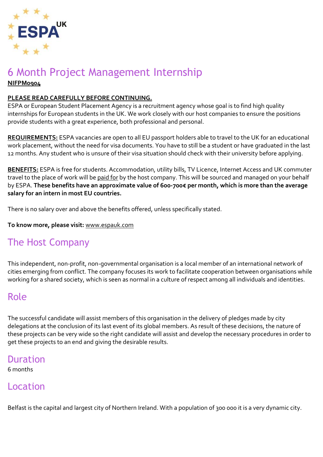

#### 6 Month Project Management Internship **NIFPM0904**

#### **PLEASE READ CAREFULLY BEFORE CONTINUING.**

ESPA or European Student Placement Agency is a recruitment agency whose goal is to find high quality internships for European students in the UK. We work closely with our host companies to ensure the positions provide students with a great experience, both professional and personal.

**REQUIREMENTS:** ESPA vacancies are open to all EU passport holders able to travel to the UK for an educational work placement, without the need for visa documents. You have to still be a student or have graduated in the last 12 months. Any student who is unsure of their visa situation should check with their university before applying.

**BENEFITS:** ESPA is free for students. Accommodation, utility bills, TV Licence, Internet Access and UK commuter travel to the place of work will be paid for by the host company. This will be sourced and managed on your behalf by ESPA. **These benefits have an approximate value of 600-700€ per month, which is more than the average salary for an intern in most EU countries.**

There is no salary over and above the benefits offered, unless specifically stated.

**To know more, please visit:** [www.espauk.com](http://www.espauk.com/)

# The Host Company

This independent, non-profit, non-governmental organisation is a local member of an international network of cities emerging from conflict. The company focuses its work to facilitate cooperation between organisations while working for a shared society, which is seen as normal in a culture of respect among all individuals and identities.

## Role

The successful candidate will assist members of this organisation in the delivery of pledges made by city delegations at the conclusion of its last event of its global members. As result of these decisions, the nature of these projects can be very wide so the right candidate will assist and develop the necessary procedures in order to get these projects to an end and giving the desirable results.

#### Duration

6 months

## Location

Belfast is the capital and largest city of Northern Ireland. With a population of 300 000 it is a very dynamic city.